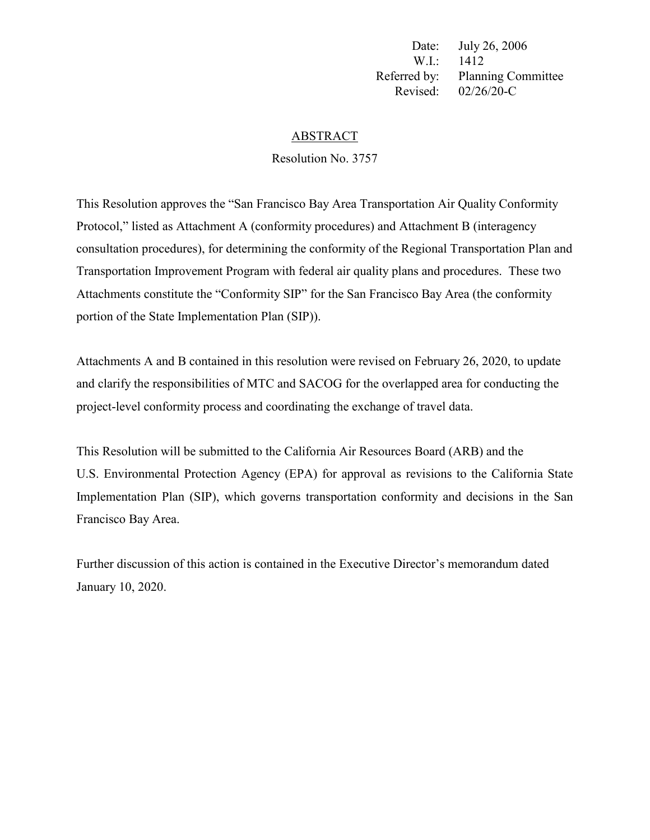Date: July 26, 2006 W.I.: 1412 Referred by: Planning Committee Revised: 02/26/20-C

#### ABSTRACT

Resolution No. 3757

This Resolution approves the "San Francisco Bay Area Transportation Air Quality Conformity Protocol," listed as Attachment A (conformity procedures) and Attachment B (interagency consultation procedures), for determining the conformity of the Regional Transportation Plan and Transportation Improvement Program with federal air quality plans and procedures. These two Attachments constitute the "Conformity SIP" for the San Francisco Bay Area (the conformity portion of the State Implementation Plan (SIP)).

Attachments A and B contained in this resolution were revised on February 26, 2020, to update and clarify the responsibilities of MTC and SACOG for the overlapped area for conducting the project-level conformity process and coordinating the exchange of travel data.

This Resolution will be submitted to the California Air Resources Board (ARB) and the U.S. Environmental Protection Agency (EPA) for approval as revisions to the California State Implementation Plan (SIP), which governs transportation conformity and decisions in the San Francisco Bay Area.

Further discussion of this action is contained in the Executive Director's memorandum dated January 10, 2020.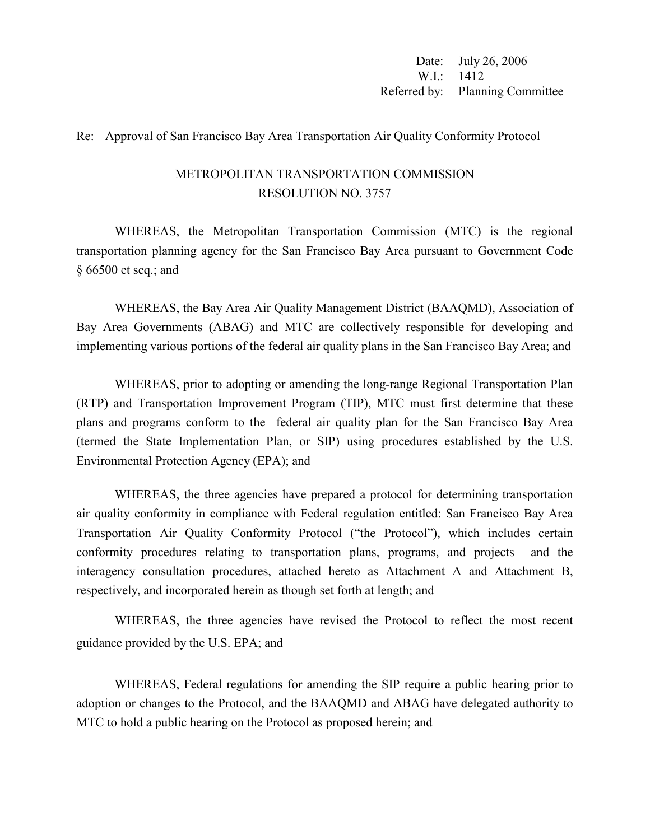Date: July 26, 2006 W.I.: 1412 Referred by: Planning Committee

#### Re: Approval of San Francisco Bay Area Transportation Air Quality Conformity Protocol

# METROPOLITAN TRANSPORTATION COMMISSION RESOLUTION NO. 3757

WHEREAS, the Metropolitan Transportation Commission (MTC) is the regional transportation planning agency for the San Francisco Bay Area pursuant to Government Code § 66500 et seq.; and

WHEREAS, the Bay Area Air Quality Management District (BAAQMD), Association of Bay Area Governments (ABAG) and MTC are collectively responsible for developing and implementing various portions of the federal air quality plans in the San Francisco Bay Area; and

WHEREAS, prior to adopting or amending the long-range Regional Transportation Plan (RTP) and Transportation Improvement Program (TIP), MTC must first determine that these plans and programs conform to the federal air quality plan for the San Francisco Bay Area (termed the State Implementation Plan, or SIP) using procedures established by the U.S. Environmental Protection Agency (EPA); and

WHEREAS, the three agencies have prepared a protocol for determining transportation air quality conformity in compliance with Federal regulation entitled: San Francisco Bay Area Transportation Air Quality Conformity Protocol ("the Protocol"), which includes certain conformity procedures relating to transportation plans, programs, and projects and the interagency consultation procedures, attached hereto as Attachment A and Attachment B, respectively, and incorporated herein as though set forth at length; and

WHEREAS, the three agencies have revised the Protocol to reflect the most recent guidance provided by the U.S. EPA; and

WHEREAS, Federal regulations for amending the SIP require a public hearing prior to adoption or changes to the Protocol, and the BAAQMD and ABAG have delegated authority to MTC to hold a public hearing on the Protocol as proposed herein; and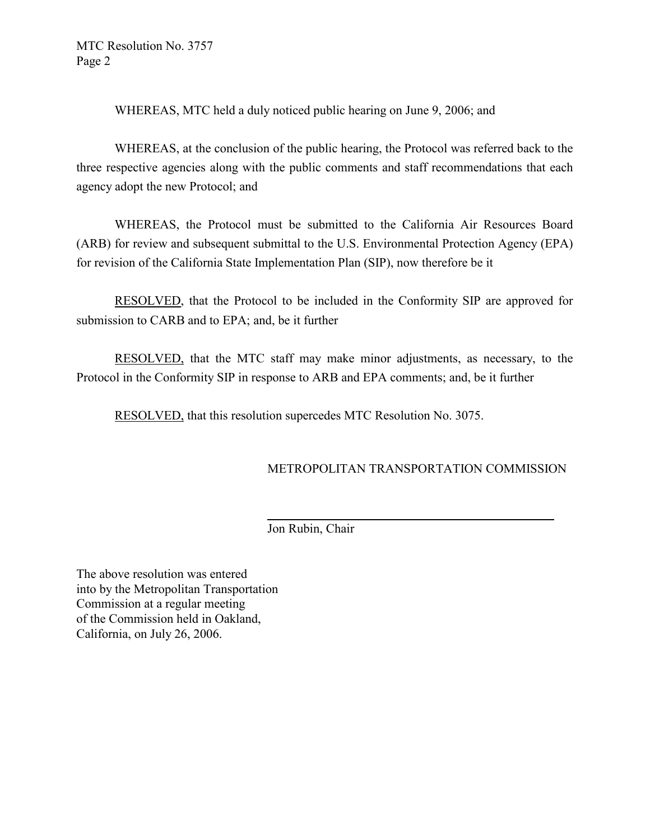WHEREAS, MTC held a duly noticed public hearing on June 9, 2006; and

WHEREAS, at the conclusion of the public hearing, the Protocol was referred back to the three respective agencies along with the public comments and staff recommendations that each agency adopt the new Protocol; and

WHEREAS, the Protocol must be submitted to the California Air Resources Board (ARB) for review and subsequent submittal to the U.S. Environmental Protection Agency (EPA) for revision of the California State Implementation Plan (SIP), now therefore be it

RESOLVED, that the Protocol to be included in the Conformity SIP are approved for submission to CARB and to EPA; and, be it further

RESOLVED, that the MTC staff may make minor adjustments, as necessary, to the Protocol in the Conformity SIP in response to ARB and EPA comments; and, be it further

RESOLVED, that this resolution supercedes MTC Resolution No. 3075.

# METROPOLITAN TRANSPORTATION COMMISSION

Jon Rubin, Chair

The above resolution was entered into by the Metropolitan Transportation Commission at a regular meeting of the Commission held in Oakland, California, on July 26, 2006.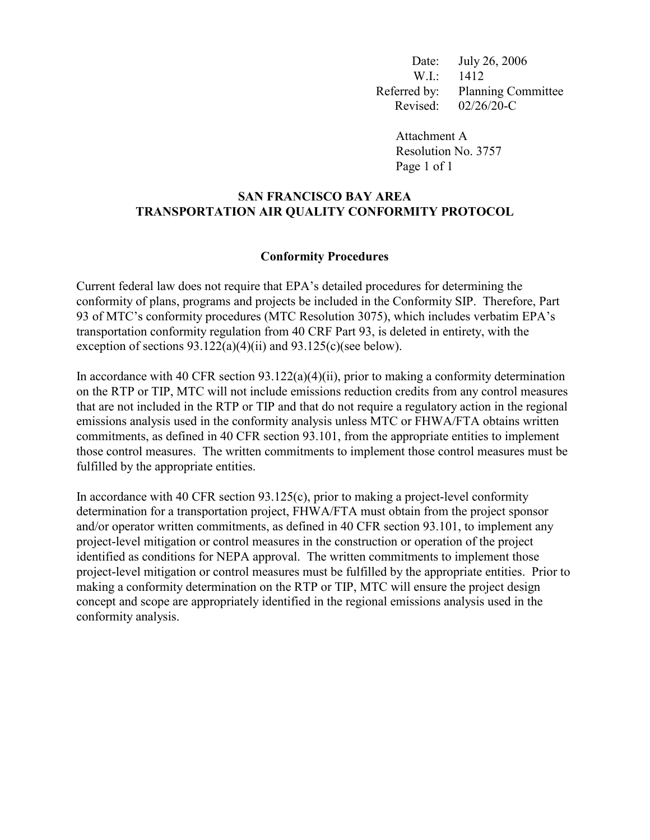Date: July 26, 2006 W.I.: 1412 Referred by: Planning Committee Revised: 02/26/20-C

> Attachment A Resolution No. 3757 Page 1 of 1

# **SAN FRANCISCO BAY AREA TRANSPORTATION AIR QUALITY CONFORMITY PROTOCOL**

#### **Conformity Procedures**

Current federal law does not require that EPA's detailed procedures for determining the conformity of plans, programs and projects be included in the Conformity SIP. Therefore, Part 93 of MTC's conformity procedures (MTC Resolution 3075), which includes verbatim EPA's transportation conformity regulation from 40 CRF Part 93, is deleted in entirety, with the exception of sections 93.122(a)(4)(ii) and 93.125(c)(see below).

In accordance with 40 CFR section 93.122(a)(4)(ii), prior to making a conformity determination on the RTP or TIP, MTC will not include emissions reduction credits from any control measures that are not included in the RTP or TIP and that do not require a regulatory action in the regional emissions analysis used in the conformity analysis unless MTC or FHWA/FTA obtains written commitments, as defined in 40 CFR section 93.101, from the appropriate entities to implement those control measures. The written commitments to implement those control measures must be fulfilled by the appropriate entities.

In accordance with 40 CFR section 93.125(c), prior to making a project-level conformity determination for a transportation project, FHWA/FTA must obtain from the project sponsor and/or operator written commitments, as defined in 40 CFR section 93.101, to implement any project-level mitigation or control measures in the construction or operation of the project identified as conditions for NEPA approval. The written commitments to implement those project-level mitigation or control measures must be fulfilled by the appropriate entities. Prior to making a conformity determination on the RTP or TIP, MTC will ensure the project design concept and scope are appropriately identified in the regional emissions analysis used in the conformity analysis.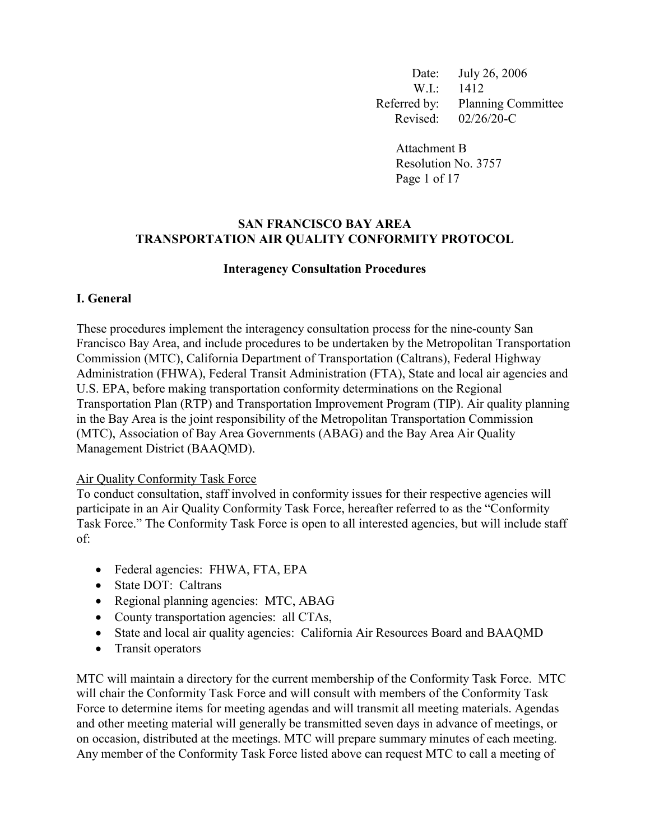Date: July 26, 2006 W.I.: 1412 Referred by: Planning Committee Revised: 02/26/20-C

Attachment B Resolution No. 3757 Page 1 of 17

#### **SAN FRANCISCO BAY AREA TRANSPORTATION AIR QUALITY CONFORMITY PROTOCOL**

#### **Interagency Consultation Procedures**

## **I. General**

These procedures implement the interagency consultation process for the nine-county San Francisco Bay Area, and include procedures to be undertaken by the Metropolitan Transportation Commission (MTC), California Department of Transportation (Caltrans), Federal Highway Administration (FHWA), Federal Transit Administration (FTA), State and local air agencies and U.S. EPA, before making transportation conformity determinations on the Regional Transportation Plan (RTP) and Transportation Improvement Program (TIP). Air quality planning in the Bay Area is the joint responsibility of the Metropolitan Transportation Commission (MTC), Association of Bay Area Governments (ABAG) and the Bay Area Air Quality Management District (BAAQMD).

#### Air Quality Conformity Task Force

To conduct consultation, staff involved in conformity issues for their respective agencies will participate in an Air Quality Conformity Task Force, hereafter referred to as the "Conformity Task Force." The Conformity Task Force is open to all interested agencies, but will include staff of:

- Federal agencies: FHWA, FTA, EPA
- State DOT: Caltrans
- Regional planning agencies: MTC, ABAG
- County transportation agencies: all CTAs,
- State and local air quality agencies: California Air Resources Board and BAAQMD
- Transit operators

MTC will maintain a directory for the current membership of the Conformity Task Force. MTC will chair the Conformity Task Force and will consult with members of the Conformity Task Force to determine items for meeting agendas and will transmit all meeting materials. Agendas and other meeting material will generally be transmitted seven days in advance of meetings, or on occasion, distributed at the meetings. MTC will prepare summary minutes of each meeting. Any member of the Conformity Task Force listed above can request MTC to call a meeting of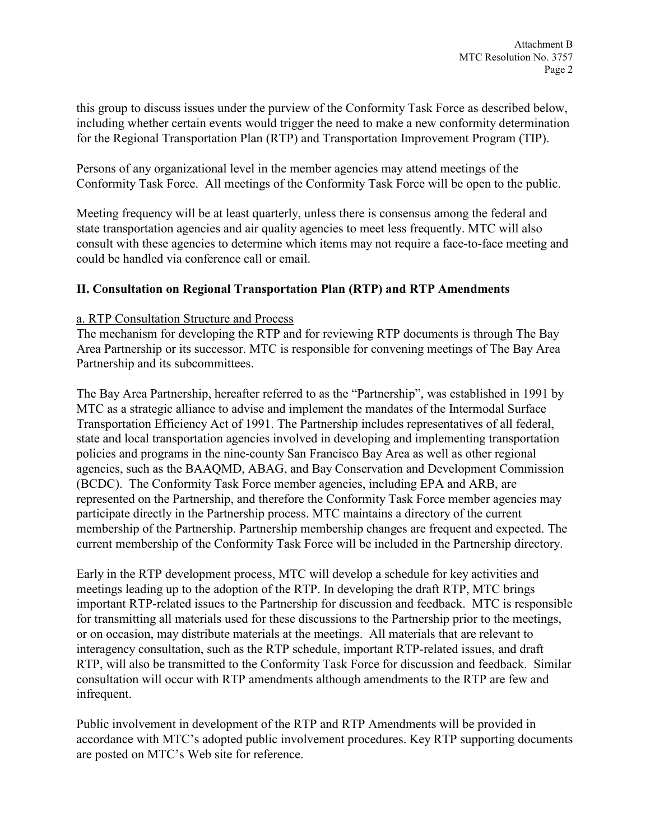this group to discuss issues under the purview of the Conformity Task Force as described below, including whether certain events would trigger the need to make a new conformity determination for the Regional Transportation Plan (RTP) and Transportation Improvement Program (TIP).

Persons of any organizational level in the member agencies may attend meetings of the Conformity Task Force. All meetings of the Conformity Task Force will be open to the public.

Meeting frequency will be at least quarterly, unless there is consensus among the federal and state transportation agencies and air quality agencies to meet less frequently. MTC will also consult with these agencies to determine which items may not require a face-to-face meeting and could be handled via conference call or email.

# **II. Consultation on Regional Transportation Plan (RTP) and RTP Amendments**

## a. RTP Consultation Structure and Process

The mechanism for developing the RTP and for reviewing RTP documents is through The Bay Area Partnership or its successor. MTC is responsible for convening meetings of The Bay Area Partnership and its subcommittees.

The Bay Area Partnership, hereafter referred to as the "Partnership", was established in 1991 by MTC as a strategic alliance to advise and implement the mandates of the Intermodal Surface Transportation Efficiency Act of 1991. The Partnership includes representatives of all federal, state and local transportation agencies involved in developing and implementing transportation policies and programs in the nine-county San Francisco Bay Area as well as other regional agencies, such as the BAAQMD, ABAG, and Bay Conservation and Development Commission (BCDC). The Conformity Task Force member agencies, including EPA and ARB, are represented on the Partnership, and therefore the Conformity Task Force member agencies may participate directly in the Partnership process. MTC maintains a directory of the current membership of the Partnership. Partnership membership changes are frequent and expected. The current membership of the Conformity Task Force will be included in the Partnership directory.

Early in the RTP development process, MTC will develop a schedule for key activities and meetings leading up to the adoption of the RTP. In developing the draft RTP, MTC brings important RTP-related issues to the Partnership for discussion and feedback. MTC is responsible for transmitting all materials used for these discussions to the Partnership prior to the meetings, or on occasion, may distribute materials at the meetings. All materials that are relevant to interagency consultation, such as the RTP schedule, important RTP-related issues, and draft RTP, will also be transmitted to the Conformity Task Force for discussion and feedback. Similar consultation will occur with RTP amendments although amendments to the RTP are few and infrequent.

Public involvement in development of the RTP and RTP Amendments will be provided in accordance with MTC's adopted public involvement procedures. Key RTP supporting documents are posted on MTC's Web site for reference.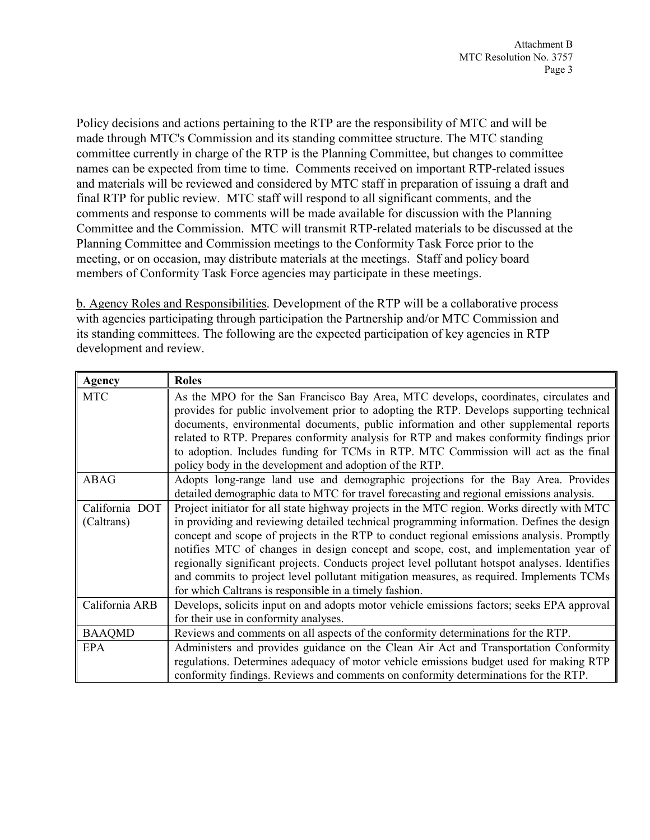Policy decisions and actions pertaining to the RTP are the responsibility of MTC and will be made through MTC's Commission and its standing committee structure. The MTC standing committee currently in charge of the RTP is the Planning Committee, but changes to committee names can be expected from time to time. Comments received on important RTP-related issues and materials will be reviewed and considered by MTC staff in preparation of issuing a draft and final RTP for public review. MTC staff will respond to all significant comments, and the comments and response to comments will be made available for discussion with the Planning Committee and the Commission. MTC will transmit RTP-related materials to be discussed at the Planning Committee and Commission meetings to the Conformity Task Force prior to the meeting, or on occasion, may distribute materials at the meetings. Staff and policy board members of Conformity Task Force agencies may participate in these meetings.

b. Agency Roles and Responsibilities. Development of the RTP will be a collaborative process with agencies participating through participation the Partnership and/or MTC Commission and its standing committees. The following are the expected participation of key agencies in RTP development and review.

| Agency         | <b>Roles</b>                                                                                   |  |  |  |  |
|----------------|------------------------------------------------------------------------------------------------|--|--|--|--|
| <b>MTC</b>     | As the MPO for the San Francisco Bay Area, MTC develops, coordinates, circulates and           |  |  |  |  |
|                | provides for public involvement prior to adopting the RTP. Develops supporting technical       |  |  |  |  |
|                | documents, environmental documents, public information and other supplemental reports          |  |  |  |  |
|                | related to RTP. Prepares conformity analysis for RTP and makes conformity findings prior       |  |  |  |  |
|                | to adoption. Includes funding for TCMs in RTP. MTC Commission will act as the final            |  |  |  |  |
|                | policy body in the development and adoption of the RTP.                                        |  |  |  |  |
| ABAG           | Adopts long-range land use and demographic projections for the Bay Area. Provides              |  |  |  |  |
|                | detailed demographic data to MTC for travel forecasting and regional emissions analysis.       |  |  |  |  |
| California DOT | Project initiator for all state highway projects in the MTC region. Works directly with MTC    |  |  |  |  |
| (Caltrans)     | in providing and reviewing detailed technical programming information. Defines the design      |  |  |  |  |
|                | concept and scope of projects in the RTP to conduct regional emissions analysis. Promptly      |  |  |  |  |
|                | notifies MTC of changes in design concept and scope, cost, and implementation year of          |  |  |  |  |
|                | regionally significant projects. Conducts project level pollutant hotspot analyses. Identifies |  |  |  |  |
|                | and commits to project level pollutant mitigation measures, as required. Implements TCMs       |  |  |  |  |
|                | for which Caltrans is responsible in a timely fashion.                                         |  |  |  |  |
| California ARB | Develops, solicits input on and adopts motor vehicle emissions factors; seeks EPA approval     |  |  |  |  |
|                | for their use in conformity analyses.                                                          |  |  |  |  |
| <b>BAAQMD</b>  | Reviews and comments on all aspects of the conformity determinations for the RTP.              |  |  |  |  |
| <b>EPA</b>     | Administers and provides guidance on the Clean Air Act and Transportation Conformity           |  |  |  |  |
|                | regulations. Determines adequacy of motor vehicle emissions budget used for making RTP         |  |  |  |  |
|                | conformity findings. Reviews and comments on conformity determinations for the RTP.            |  |  |  |  |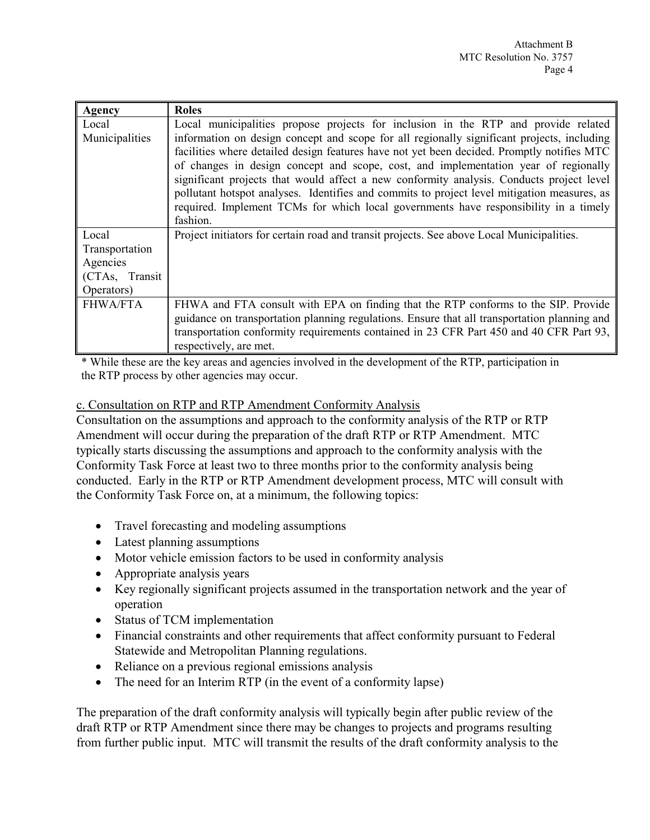| Agency          | <b>Roles</b>                                                                                 |  |  |  |  |
|-----------------|----------------------------------------------------------------------------------------------|--|--|--|--|
| Local           | Local municipalities propose projects for inclusion in the RTP and provide related           |  |  |  |  |
| Municipalities  | information on design concept and scope for all regionally significant projects, including   |  |  |  |  |
|                 | facilities where detailed design features have not yet been decided. Promptly notifies MTC   |  |  |  |  |
|                 | of changes in design concept and scope, cost, and implementation year of regionally          |  |  |  |  |
|                 | significant projects that would affect a new conformity analysis. Conducts project level     |  |  |  |  |
|                 | pollutant hotspot analyses. Identifies and commits to project level mitigation measures, as  |  |  |  |  |
|                 | required. Implement TCMs for which local governments have responsibility in a timely         |  |  |  |  |
|                 | fashion.                                                                                     |  |  |  |  |
| Local           | Project initiators for certain road and transit projects. See above Local Municipalities.    |  |  |  |  |
| Transportation  |                                                                                              |  |  |  |  |
| Agencies        |                                                                                              |  |  |  |  |
| (CTAs, Transit  |                                                                                              |  |  |  |  |
| Operators)      |                                                                                              |  |  |  |  |
| <b>FHWA/FTA</b> | FHWA and FTA consult with EPA on finding that the RTP conforms to the SIP. Provide           |  |  |  |  |
|                 | guidance on transportation planning regulations. Ensure that all transportation planning and |  |  |  |  |
|                 | transportation conformity requirements contained in 23 CFR Part 450 and 40 CFR Part 93,      |  |  |  |  |
|                 | respectively, are met.                                                                       |  |  |  |  |

\* While these are the key areas and agencies involved in the development of the RTP, participation in the RTP process by other agencies may occur.

c. Consultation on RTP and RTP Amendment Conformity Analysis

Consultation on the assumptions and approach to the conformity analysis of the RTP or RTP Amendment will occur during the preparation of the draft RTP or RTP Amendment. MTC typically starts discussing the assumptions and approach to the conformity analysis with the Conformity Task Force at least two to three months prior to the conformity analysis being conducted. Early in the RTP or RTP Amendment development process, MTC will consult with the Conformity Task Force on, at a minimum, the following topics:

- Travel forecasting and modeling assumptions
- Latest planning assumptions
- Motor vehicle emission factors to be used in conformity analysis
- Appropriate analysis years
- Key regionally significant projects assumed in the transportation network and the year of operation
- Status of TCM implementation
- Financial constraints and other requirements that affect conformity pursuant to Federal Statewide and Metropolitan Planning regulations.
- Reliance on a previous regional emissions analysis
- The need for an Interim RTP (in the event of a conformity lapse)

The preparation of the draft conformity analysis will typically begin after public review of the draft RTP or RTP Amendment since there may be changes to projects and programs resulting from further public input. MTC will transmit the results of the draft conformity analysis to the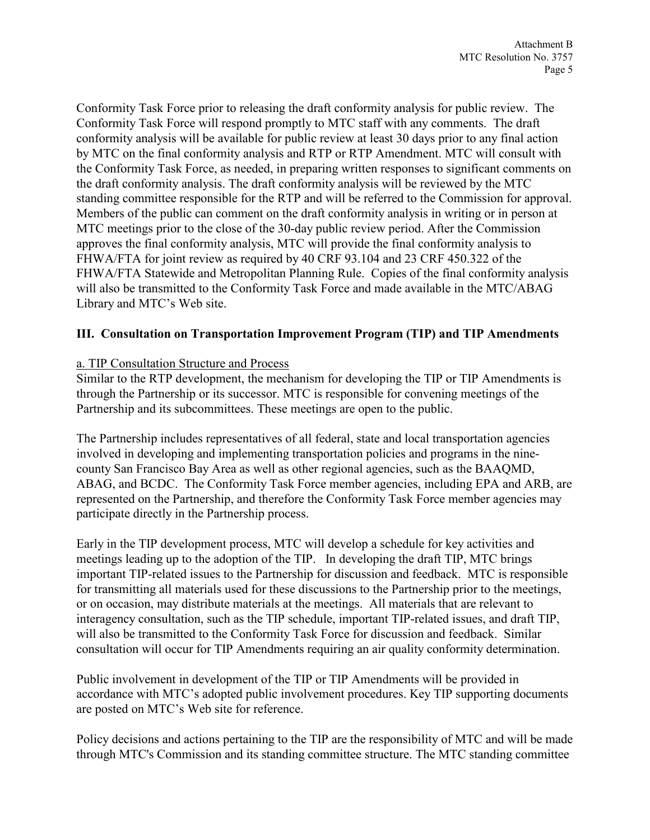Conformity Task Force prior to releasing the draft conformity analysis for public review. The Conformity Task Force will respond promptly to MTC staff with any comments. The draft conformity analysis will be available for public review at least 30 days prior to any final action by MTC on the final conformity analysis and RTP or RTP Amendment. MTC will consult with the Conformity Task Force, as needed, in preparing written responses to significant comments on the draft conformity analysis. The draft conformity analysis will be reviewed by the MTC standing committee responsible for the RTP and will be referred to the Commission for approval. Members of the public can comment on the draft conformity analysis in writing or in person at MTC meetings prior to the close of the 30-day public review period. After the Commission approves the final conformity analysis, MTC will provide the final conformity analysis to FHWA/FTA for joint review as required by 40 CRF 93.104 and 23 CRF 450.322 of the FHWA/FTA Statewide and Metropolitan Planning Rule. Copies of the final conformity analysis will also be transmitted to the Conformity Task Force and made available in the MTC/ABAG Library and MTC's Web site.

# **III. Consultation on Transportation Improvement Program (TIP) and TIP Amendments**

# a. TIP Consultation Structure and Process

Similar to the RTP development, the mechanism for developing the TIP or TIP Amendments is through the Partnership or its successor. MTC is responsible for convening meetings of the Partnership and its subcommittees. These meetings are open to the public.

The Partnership includes representatives of all federal, state and local transportation agencies involved in developing and implementing transportation policies and programs in the ninecounty San Francisco Bay Area as well as other regional agencies, such as the BAAQMD, ABAG, and BCDC. The Conformity Task Force member agencies, including EPA and ARB, are represented on the Partnership, and therefore the Conformity Task Force member agencies may participate directly in the Partnership process.

Early in the TIP development process, MTC will develop a schedule for key activities and meetings leading up to the adoption of the TIP. In developing the draft TIP, MTC brings important TIP-related issues to the Partnership for discussion and feedback. MTC is responsible for transmitting all materials used for these discussions to the Partnership prior to the meetings, or on occasion, may distribute materials at the meetings. All materials that are relevant to interagency consultation, such as the TIP schedule, important TIP-related issues, and draft TIP, will also be transmitted to the Conformity Task Force for discussion and feedback. Similar consultation will occur for TIP Amendments requiring an air quality conformity determination.

Public involvement in development of the TIP or TIP Amendments will be provided in accordance with MTC's adopted public involvement procedures. Key TIP supporting documents are posted on MTC's Web site for reference.

Policy decisions and actions pertaining to the TIP are the responsibility of MTC and will be made through MTC's Commission and its standing committee structure. The MTC standing committee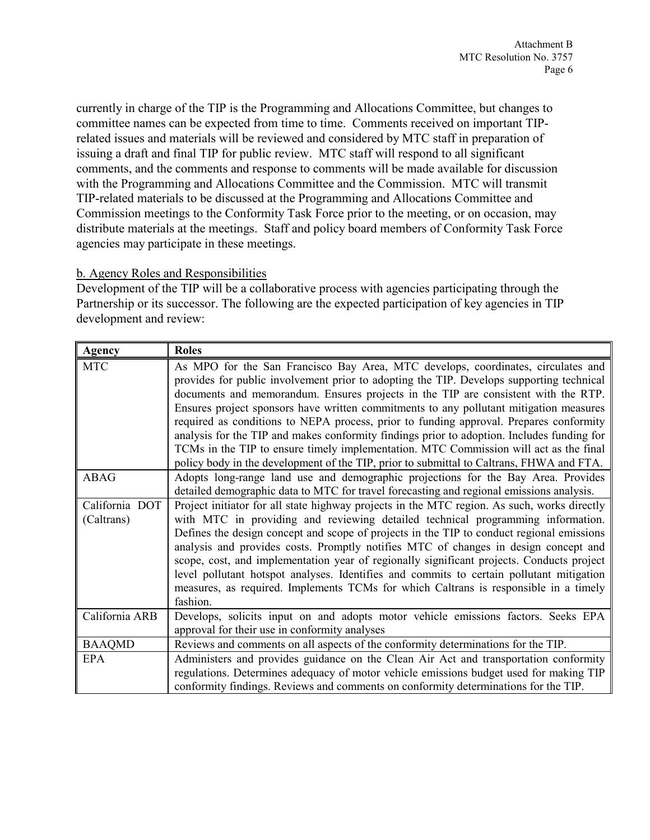currently in charge of the TIP is the Programming and Allocations Committee, but changes to committee names can be expected from time to time. Comments received on important TIPrelated issues and materials will be reviewed and considered by MTC staff in preparation of issuing a draft and final TIP for public review. MTC staff will respond to all significant comments, and the comments and response to comments will be made available for discussion with the Programming and Allocations Committee and the Commission. MTC will transmit TIP-related materials to be discussed at the Programming and Allocations Committee and Commission meetings to the Conformity Task Force prior to the meeting, or on occasion, may distribute materials at the meetings. Staff and policy board members of Conformity Task Force agencies may participate in these meetings.

## b. Agency Roles and Responsibilities

Development of the TIP will be a collaborative process with agencies participating through the Partnership or its successor. The following are the expected participation of key agencies in TIP development and review:

| <b>Agency</b>  | <b>Roles</b>                                                                                |  |  |  |  |
|----------------|---------------------------------------------------------------------------------------------|--|--|--|--|
| <b>MTC</b>     | As MPO for the San Francisco Bay Area, MTC develops, coordinates, circulates and            |  |  |  |  |
|                | provides for public involvement prior to adopting the TIP. Develops supporting technical    |  |  |  |  |
|                | documents and memorandum. Ensures projects in the TIP are consistent with the RTP.          |  |  |  |  |
|                | Ensures project sponsors have written commitments to any pollutant mitigation measures      |  |  |  |  |
|                | required as conditions to NEPA process, prior to funding approval. Prepares conformity      |  |  |  |  |
|                | analysis for the TIP and makes conformity findings prior to adoption. Includes funding for  |  |  |  |  |
|                | TCMs in the TIP to ensure timely implementation. MTC Commission will act as the final       |  |  |  |  |
|                | policy body in the development of the TIP, prior to submittal to Caltrans, FHWA and FTA.    |  |  |  |  |
| ABAG           | Adopts long-range land use and demographic projections for the Bay Area. Provides           |  |  |  |  |
|                | detailed demographic data to MTC for travel forecasting and regional emissions analysis.    |  |  |  |  |
| California DOT | Project initiator for all state highway projects in the MTC region. As such, works directly |  |  |  |  |
| (Caltrans)     | with MTC in providing and reviewing detailed technical programming information.             |  |  |  |  |
|                | Defines the design concept and scope of projects in the TIP to conduct regional emissions   |  |  |  |  |
|                | analysis and provides costs. Promptly notifies MTC of changes in design concept and         |  |  |  |  |
|                | scope, cost, and implementation year of regionally significant projects. Conducts project   |  |  |  |  |
|                | level pollutant hotspot analyses. Identifies and commits to certain pollutant mitigation    |  |  |  |  |
|                | measures, as required. Implements TCMs for which Caltrans is responsible in a timely        |  |  |  |  |
|                | fashion.                                                                                    |  |  |  |  |
| California ARB | Develops, solicits input on and adopts motor vehicle emissions factors. Seeks EPA           |  |  |  |  |
|                | approval for their use in conformity analyses                                               |  |  |  |  |
| <b>BAAQMD</b>  | Reviews and comments on all aspects of the conformity determinations for the TIP.           |  |  |  |  |
| EPA            | Administers and provides guidance on the Clean Air Act and transportation conformity        |  |  |  |  |
|                | regulations. Determines adequacy of motor vehicle emissions budget used for making TIP      |  |  |  |  |
|                | conformity findings. Reviews and comments on conformity determinations for the TIP.         |  |  |  |  |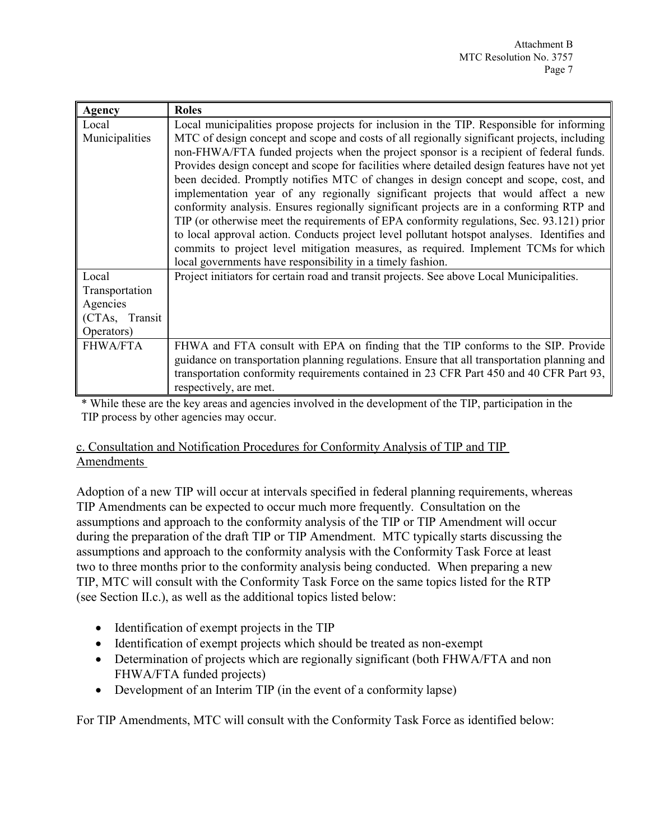| Agency          | <b>Roles</b>                                                                                 |  |  |  |  |
|-----------------|----------------------------------------------------------------------------------------------|--|--|--|--|
| Local           | Local municipalities propose projects for inclusion in the TIP. Responsible for informing    |  |  |  |  |
| Municipalities  | MTC of design concept and scope and costs of all regionally significant projects, including  |  |  |  |  |
|                 | non-FHWA/FTA funded projects when the project sponsor is a recipient of federal funds.       |  |  |  |  |
|                 | Provides design concept and scope for facilities where detailed design features have not yet |  |  |  |  |
|                 | been decided. Promptly notifies MTC of changes in design concept and scope, cost, and        |  |  |  |  |
|                 | implementation year of any regionally significant projects that would affect a new           |  |  |  |  |
|                 | conformity analysis. Ensures regionally significant projects are in a conforming RTP and     |  |  |  |  |
|                 | TIP (or otherwise meet the requirements of EPA conformity regulations, Sec. 93.121) prior    |  |  |  |  |
|                 | to local approval action. Conducts project level pollutant hotspot analyses. Identifies and  |  |  |  |  |
|                 | commits to project level mitigation measures, as required. Implement TCMs for which          |  |  |  |  |
|                 | local governments have responsibility in a timely fashion.                                   |  |  |  |  |
| Local           | Project initiators for certain road and transit projects. See above Local Municipalities.    |  |  |  |  |
| Transportation  |                                                                                              |  |  |  |  |
| Agencies        |                                                                                              |  |  |  |  |
| (CTAs, Transit  |                                                                                              |  |  |  |  |
| Operators)      |                                                                                              |  |  |  |  |
| <b>FHWA/FTA</b> | FHWA and FTA consult with EPA on finding that the TIP conforms to the SIP. Provide           |  |  |  |  |
|                 | guidance on transportation planning regulations. Ensure that all transportation planning and |  |  |  |  |
|                 | transportation conformity requirements contained in 23 CFR Part 450 and 40 CFR Part 93,      |  |  |  |  |
|                 | respectively, are met.                                                                       |  |  |  |  |

\* While these are the key areas and agencies involved in the development of the TIP, participation in the TIP process by other agencies may occur.

## c. Consultation and Notification Procedures for Conformity Analysis of TIP and TIP Amendments

Adoption of a new TIP will occur at intervals specified in federal planning requirements, whereas TIP Amendments can be expected to occur much more frequently. Consultation on the assumptions and approach to the conformity analysis of the TIP or TIP Amendment will occur during the preparation of the draft TIP or TIP Amendment. MTC typically starts discussing the assumptions and approach to the conformity analysis with the Conformity Task Force at least two to three months prior to the conformity analysis being conducted. When preparing a new TIP, MTC will consult with the Conformity Task Force on the same topics listed for the RTP (see Section II.c.), as well as the additional topics listed below:

- Identification of exempt projects in the TIP
- Identification of exempt projects which should be treated as non-exempt
- Determination of projects which are regionally significant (both FHWA/FTA and non FHWA/FTA funded projects)
- Development of an Interim TIP (in the event of a conformity lapse)

For TIP Amendments, MTC will consult with the Conformity Task Force as identified below: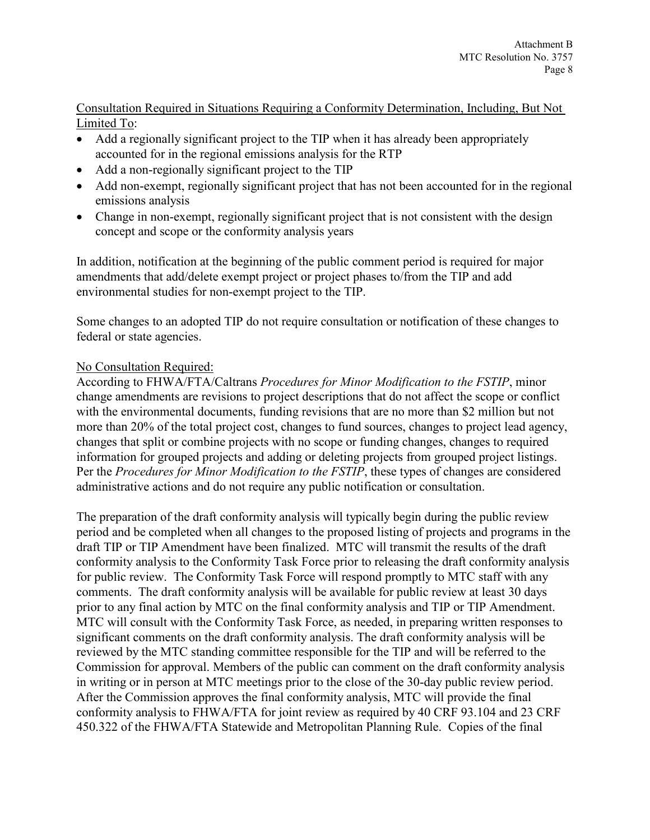# Consultation Required in Situations Requiring a Conformity Determination, Including, But Not Limited To:

- Add a regionally significant project to the TIP when it has already been appropriately accounted for in the regional emissions analysis for the RTP
- Add a non-regionally significant project to the TIP
- Add non-exempt, regionally significant project that has not been accounted for in the regional emissions analysis
- Change in non-exempt, regionally significant project that is not consistent with the design concept and scope or the conformity analysis years

In addition, notification at the beginning of the public comment period is required for major amendments that add/delete exempt project or project phases to/from the TIP and add environmental studies for non-exempt project to the TIP.

Some changes to an adopted TIP do not require consultation or notification of these changes to federal or state agencies.

# No Consultation Required:

According to FHWA/FTA/Caltrans *Procedures for Minor Modification to the FSTIP*, minor change amendments are revisions to project descriptions that do not affect the scope or conflict with the environmental documents, funding revisions that are no more than \$2 million but not more than 20% of the total project cost, changes to fund sources, changes to project lead agency, changes that split or combine projects with no scope or funding changes, changes to required information for grouped projects and adding or deleting projects from grouped project listings. Per the *Procedures for Minor Modification to the FSTIP*, these types of changes are considered administrative actions and do not require any public notification or consultation.

The preparation of the draft conformity analysis will typically begin during the public review period and be completed when all changes to the proposed listing of projects and programs in the draft TIP or TIP Amendment have been finalized. MTC will transmit the results of the draft conformity analysis to the Conformity Task Force prior to releasing the draft conformity analysis for public review. The Conformity Task Force will respond promptly to MTC staff with any comments. The draft conformity analysis will be available for public review at least 30 days prior to any final action by MTC on the final conformity analysis and TIP or TIP Amendment. MTC will consult with the Conformity Task Force, as needed, in preparing written responses to significant comments on the draft conformity analysis. The draft conformity analysis will be reviewed by the MTC standing committee responsible for the TIP and will be referred to the Commission for approval. Members of the public can comment on the draft conformity analysis in writing or in person at MTC meetings prior to the close of the 30-day public review period. After the Commission approves the final conformity analysis, MTC will provide the final conformity analysis to FHWA/FTA for joint review as required by 40 CRF 93.104 and 23 CRF 450.322 of the FHWA/FTA Statewide and Metropolitan Planning Rule. Copies of the final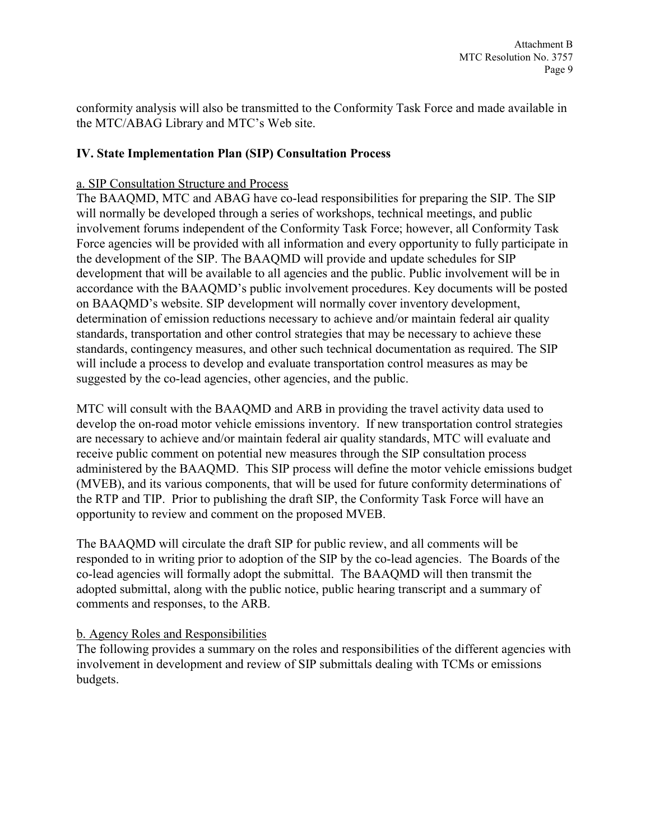conformity analysis will also be transmitted to the Conformity Task Force and made available in the MTC/ABAG Library and MTC's Web site.

## **IV. State Implementation Plan (SIP) Consultation Process**

#### a. SIP Consultation Structure and Process

The BAAQMD, MTC and ABAG have co-lead responsibilities for preparing the SIP. The SIP will normally be developed through a series of workshops, technical meetings, and public involvement forums independent of the Conformity Task Force; however, all Conformity Task Force agencies will be provided with all information and every opportunity to fully participate in the development of the SIP. The BAAQMD will provide and update schedules for SIP development that will be available to all agencies and the public. Public involvement will be in accordance with the BAAQMD's public involvement procedures. Key documents will be posted on BAAQMD's website. SIP development will normally cover inventory development, determination of emission reductions necessary to achieve and/or maintain federal air quality standards, transportation and other control strategies that may be necessary to achieve these standards, contingency measures, and other such technical documentation as required. The SIP will include a process to develop and evaluate transportation control measures as may be suggested by the co-lead agencies, other agencies, and the public.

MTC will consult with the BAAQMD and ARB in providing the travel activity data used to develop the on-road motor vehicle emissions inventory. If new transportation control strategies are necessary to achieve and/or maintain federal air quality standards, MTC will evaluate and receive public comment on potential new measures through the SIP consultation process administered by the BAAQMD. This SIP process will define the motor vehicle emissions budget (MVEB), and its various components, that will be used for future conformity determinations of the RTP and TIP. Prior to publishing the draft SIP, the Conformity Task Force will have an opportunity to review and comment on the proposed MVEB.

The BAAQMD will circulate the draft SIP for public review, and all comments will be responded to in writing prior to adoption of the SIP by the co-lead agencies. The Boards of the co-lead agencies will formally adopt the submittal. The BAAQMD will then transmit the adopted submittal, along with the public notice, public hearing transcript and a summary of comments and responses, to the ARB.

#### b. Agency Roles and Responsibilities

The following provides a summary on the roles and responsibilities of the different agencies with involvement in development and review of SIP submittals dealing with TCMs or emissions budgets.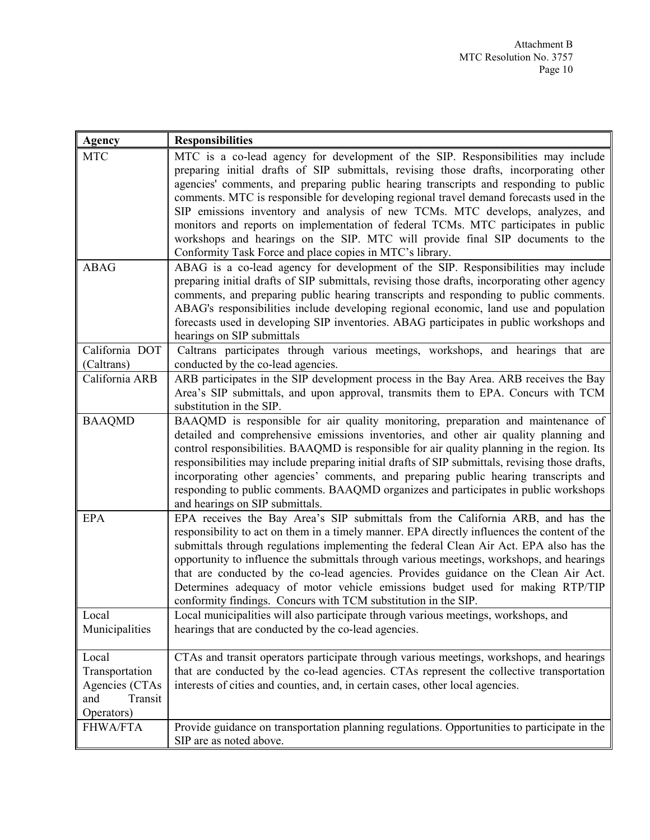| <b>Agency</b>                                                             | <b>Responsibilities</b>                                                                                                                                                                                                                                                                                                                                                                                                                                                                                                                                                                                                                                                              |  |
|---------------------------------------------------------------------------|--------------------------------------------------------------------------------------------------------------------------------------------------------------------------------------------------------------------------------------------------------------------------------------------------------------------------------------------------------------------------------------------------------------------------------------------------------------------------------------------------------------------------------------------------------------------------------------------------------------------------------------------------------------------------------------|--|
| <b>MTC</b>                                                                | MTC is a co-lead agency for development of the SIP. Responsibilities may include<br>preparing initial drafts of SIP submittals, revising those drafts, incorporating other<br>agencies' comments, and preparing public hearing transcripts and responding to public<br>comments. MTC is responsible for developing regional travel demand forecasts used in the<br>SIP emissions inventory and analysis of new TCMs. MTC develops, analyzes, and<br>monitors and reports on implementation of federal TCMs. MTC participates in public<br>workshops and hearings on the SIP. MTC will provide final SIP documents to the<br>Conformity Task Force and place copies in MTC's library. |  |
| <b>ABAG</b>                                                               | ABAG is a co-lead agency for development of the SIP. Responsibilities may include<br>preparing initial drafts of SIP submittals, revising those drafts, incorporating other agency<br>comments, and preparing public hearing transcripts and responding to public comments.<br>ABAG's responsibilities include developing regional economic, land use and population<br>forecasts used in developing SIP inventories. ABAG participates in public workshops and<br>hearings on SIP submittals                                                                                                                                                                                        |  |
| California DOT                                                            | Caltrans participates through various meetings, workshops, and hearings that are                                                                                                                                                                                                                                                                                                                                                                                                                                                                                                                                                                                                     |  |
| (Caltrans)                                                                | conducted by the co-lead agencies.                                                                                                                                                                                                                                                                                                                                                                                                                                                                                                                                                                                                                                                   |  |
| California ARB                                                            | ARB participates in the SIP development process in the Bay Area. ARB receives the Bay<br>Area's SIP submittals, and upon approval, transmits them to EPA. Concurs with TCM<br>substitution in the SIP.                                                                                                                                                                                                                                                                                                                                                                                                                                                                               |  |
| <b>BAAQMD</b>                                                             | BAAQMD is responsible for air quality monitoring, preparation and maintenance of<br>detailed and comprehensive emissions inventories, and other air quality planning and<br>control responsibilities. BAAQMD is responsible for air quality planning in the region. Its<br>responsibilities may include preparing initial drafts of SIP submittals, revising those drafts,<br>incorporating other agencies' comments, and preparing public hearing transcripts and<br>responding to public comments. BAAQMD organizes and participates in public workshops<br>and hearings on SIP submittals.                                                                                        |  |
| <b>EPA</b>                                                                | EPA receives the Bay Area's SIP submittals from the California ARB, and has the<br>responsibility to act on them in a timely manner. EPA directly influences the content of the<br>submittals through regulations implementing the federal Clean Air Act. EPA also has the<br>opportunity to influence the submittals through various meetings, workshops, and hearings<br>that are conducted by the co-lead agencies. Provides guidance on the Clean Air Act.<br>Determines adequacy of motor vehicle emissions budget used for making RTP/TIP<br>conformity findings. Concurs with TCM substitution in the SIP.                                                                    |  |
| Local                                                                     | Local municipalities will also participate through various meetings, workshops, and                                                                                                                                                                                                                                                                                                                                                                                                                                                                                                                                                                                                  |  |
| Municipalities                                                            | hearings that are conducted by the co-lead agencies.                                                                                                                                                                                                                                                                                                                                                                                                                                                                                                                                                                                                                                 |  |
| Local<br>Transportation<br>Agencies (CTAs<br>Transit<br>and<br>Operators) | CTAs and transit operators participate through various meetings, workshops, and hearings<br>that are conducted by the co-lead agencies. CTAs represent the collective transportation<br>interests of cities and counties, and, in certain cases, other local agencies.                                                                                                                                                                                                                                                                                                                                                                                                               |  |
| <b>FHWA/FTA</b>                                                           | Provide guidance on transportation planning regulations. Opportunities to participate in the<br>SIP are as noted above.                                                                                                                                                                                                                                                                                                                                                                                                                                                                                                                                                              |  |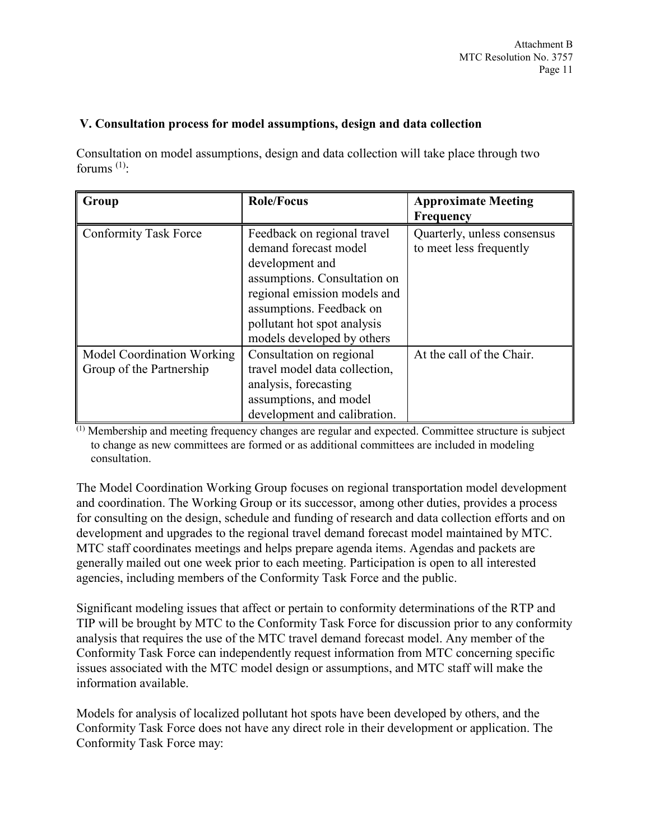## **V. Consultation process for model assumptions, design and data collection**

Consultation on model assumptions, design and data collection will take place through two forums  $(1)$ :

| Group                        | <b>Role/Focus</b>             | <b>Approximate Meeting</b>  |
|------------------------------|-------------------------------|-----------------------------|
|                              |                               | Frequency                   |
| <b>Conformity Task Force</b> | Feedback on regional travel   | Quarterly, unless consensus |
|                              | demand forecast model         | to meet less frequently     |
|                              | development and               |                             |
|                              | assumptions. Consultation on  |                             |
|                              | regional emission models and  |                             |
|                              | assumptions. Feedback on      |                             |
|                              | pollutant hot spot analysis   |                             |
|                              | models developed by others    |                             |
| Model Coordination Working   | Consultation on regional      | At the call of the Chair.   |
| Group of the Partnership     | travel model data collection, |                             |
|                              | analysis, forecasting         |                             |
|                              | assumptions, and model        |                             |
|                              | development and calibration.  |                             |

(1) Membership and meeting frequency changes are regular and expected. Committee structure is subject to change as new committees are formed or as additional committees are included in modeling consultation.

The Model Coordination Working Group focuses on regional transportation model development and coordination. The Working Group or its successor, among other duties, provides a process for consulting on the design, schedule and funding of research and data collection efforts and on development and upgrades to the regional travel demand forecast model maintained by MTC. MTC staff coordinates meetings and helps prepare agenda items. Agendas and packets are generally mailed out one week prior to each meeting. Participation is open to all interested agencies, including members of the Conformity Task Force and the public.

Significant modeling issues that affect or pertain to conformity determinations of the RTP and TIP will be brought by MTC to the Conformity Task Force for discussion prior to any conformity analysis that requires the use of the MTC travel demand forecast model. Any member of the Conformity Task Force can independently request information from MTC concerning specific issues associated with the MTC model design or assumptions, and MTC staff will make the information available.

Models for analysis of localized pollutant hot spots have been developed by others, and the Conformity Task Force does not have any direct role in their development or application. The Conformity Task Force may: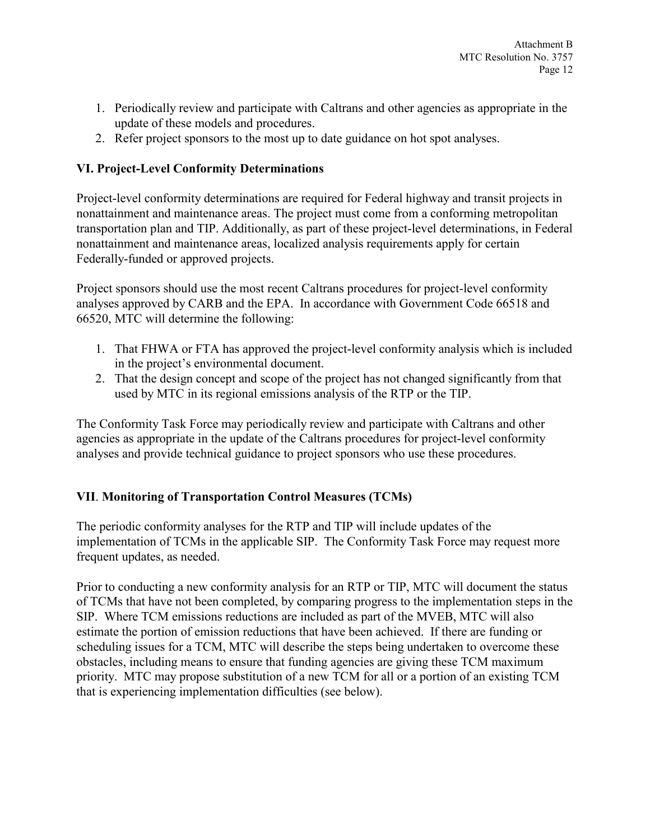- 1. Periodically review and participate with Caltrans and other agencies as appropriate in the update of these models and procedures.
- 2. Refer project sponsors to the most up to date guidance on hot spot analyses.

# **VI. Project-Level Conformity Determinations**

Project-level conformity determinations are required for Federal highway and transit projects in nonattainment and maintenance areas. The project must come from a conforming metropolitan transportation plan and TIP. Additionally, as part of these project-level determinations, in Federal nonattainment and maintenance areas, localized analysis requirements apply for certain Federally-funded or approved projects.

Project sponsors should use the most recent Caltrans procedures for project-level conformity analyses approved by CARB and the EPA. In accordance with Government Code 66518 and 66520, MTC will determine the following:

- 1. That FHWA or FTA has approved the project-level conformity analysis which is included in the project's environmental document.
- 2. That the design concept and scope of the project has not changed significantly from that used by MTC in its regional emissions analysis of the RTP or the TIP.

The Conformity Task Force may periodically review and participate with Caltrans and other agencies as appropriate in the update of the Caltrans procedures for project-level conformity analyses and provide technical guidance to project sponsors who use these procedures.

# **VII**. **Monitoring of Transportation Control Measures (TCMs)**

The periodic conformity analyses for the RTP and TIP will include updates of the implementation of TCMs in the applicable SIP. The Conformity Task Force may request more frequent updates, as needed.

Prior to conducting a new conformity analysis for an RTP or TIP, MTC will document the status of TCMs that have not been completed, by comparing progress to the implementation steps in the SIP. Where TCM emissions reductions are included as part of the MVEB, MTC will also estimate the portion of emission reductions that have been achieved. If there are funding or scheduling issues for a TCM, MTC will describe the steps being undertaken to overcome these obstacles, including means to ensure that funding agencies are giving these TCM maximum priority. MTC may propose substitution of a new TCM for all or a portion of an existing TCM that is experiencing implementation difficulties (see below).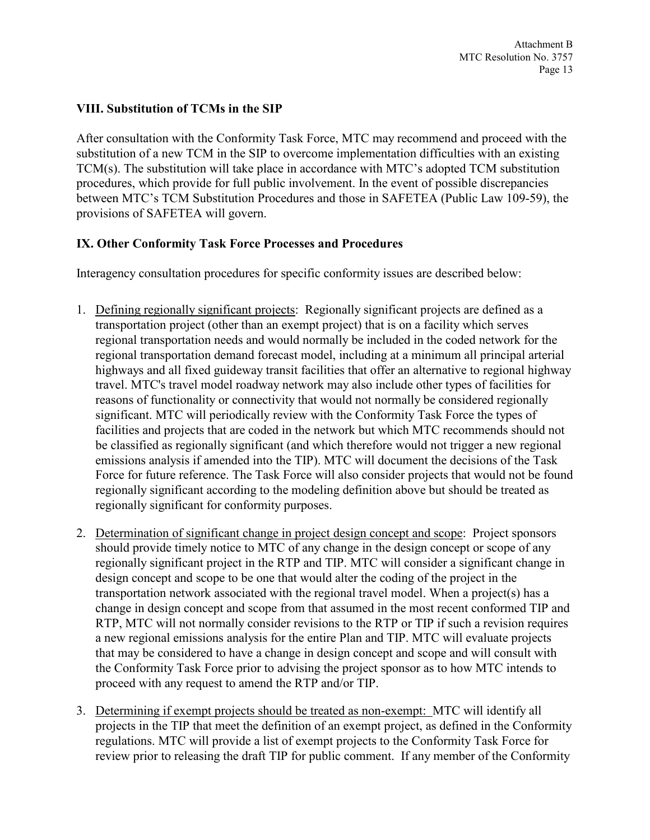## **VIII. Substitution of TCMs in the SIP**

After consultation with the Conformity Task Force, MTC may recommend and proceed with the substitution of a new TCM in the SIP to overcome implementation difficulties with an existing TCM(s). The substitution will take place in accordance with MTC's adopted TCM substitution procedures, which provide for full public involvement. In the event of possible discrepancies between MTC's TCM Substitution Procedures and those in SAFETEA (Public Law 109-59), the provisions of SAFETEA will govern.

# **IX. Other Conformity Task Force Processes and Procedures**

Interagency consultation procedures for specific conformity issues are described below:

- 1. Defining regionally significant projects: Regionally significant projects are defined as a transportation project (other than an exempt project) that is on a facility which serves regional transportation needs and would normally be included in the coded network for the regional transportation demand forecast model, including at a minimum all principal arterial highways and all fixed guideway transit facilities that offer an alternative to regional highway travel. MTC's travel model roadway network may also include other types of facilities for reasons of functionality or connectivity that would not normally be considered regionally significant. MTC will periodically review with the Conformity Task Force the types of facilities and projects that are coded in the network but which MTC recommends should not be classified as regionally significant (and which therefore would not trigger a new regional emissions analysis if amended into the TIP). MTC will document the decisions of the Task Force for future reference. The Task Force will also consider projects that would not be found regionally significant according to the modeling definition above but should be treated as regionally significant for conformity purposes.
- 2. Determination of significant change in project design concept and scope: Project sponsors should provide timely notice to MTC of any change in the design concept or scope of any regionally significant project in the RTP and TIP. MTC will consider a significant change in design concept and scope to be one that would alter the coding of the project in the transportation network associated with the regional travel model. When a project(s) has a change in design concept and scope from that assumed in the most recent conformed TIP and RTP, MTC will not normally consider revisions to the RTP or TIP if such a revision requires a new regional emissions analysis for the entire Plan and TIP. MTC will evaluate projects that may be considered to have a change in design concept and scope and will consult with the Conformity Task Force prior to advising the project sponsor as to how MTC intends to proceed with any request to amend the RTP and/or TIP.
- 3. Determining if exempt projects should be treated as non-exempt: MTC will identify all projects in the TIP that meet the definition of an exempt project, as defined in the Conformity regulations. MTC will provide a list of exempt projects to the Conformity Task Force for review prior to releasing the draft TIP for public comment. If any member of the Conformity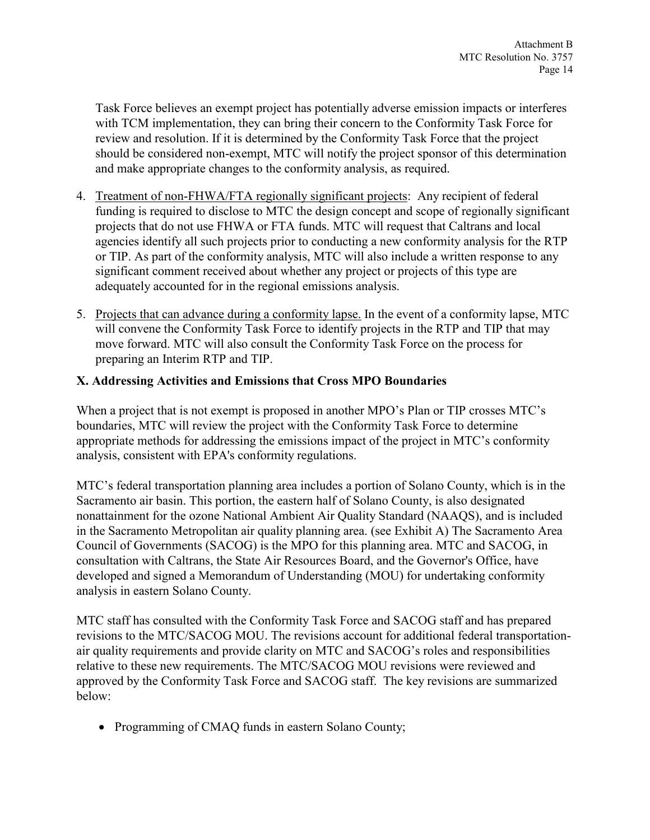Task Force believes an exempt project has potentially adverse emission impacts or interferes with TCM implementation, they can bring their concern to the Conformity Task Force for review and resolution. If it is determined by the Conformity Task Force that the project should be considered non-exempt, MTC will notify the project sponsor of this determination and make appropriate changes to the conformity analysis, as required.

- 4. Treatment of non-FHWA/FTA regionally significant projects: Any recipient of federal funding is required to disclose to MTC the design concept and scope of regionally significant projects that do not use FHWA or FTA funds. MTC will request that Caltrans and local agencies identify all such projects prior to conducting a new conformity analysis for the RTP or TIP. As part of the conformity analysis, MTC will also include a written response to any significant comment received about whether any project or projects of this type are adequately accounted for in the regional emissions analysis.
- 5. Projects that can advance during a conformity lapse. In the event of a conformity lapse, MTC will convene the Conformity Task Force to identify projects in the RTP and TIP that may move forward. MTC will also consult the Conformity Task Force on the process for preparing an Interim RTP and TIP.

# **X. Addressing Activities and Emissions that Cross MPO Boundaries**

When a project that is not exempt is proposed in another MPO's Plan or TIP crosses MTC's boundaries, MTC will review the project with the Conformity Task Force to determine appropriate methods for addressing the emissions impact of the project in MTC's conformity analysis, consistent with EPA's conformity regulations.

MTC's federal transportation planning area includes a portion of Solano County, which is in the Sacramento air basin. This portion, the eastern half of Solano County, is also designated nonattainment for the ozone National Ambient Air Quality Standard (NAAQS), and is included in the Sacramento Metropolitan air quality planning area. (see Exhibit A) The Sacramento Area Council of Governments (SACOG) is the MPO for this planning area. MTC and SACOG, in consultation with Caltrans, the State Air Resources Board, and the Governor's Office, have developed and signed a Memorandum of Understanding (MOU) for undertaking conformity analysis in eastern Solano County.

MTC staff has consulted with the Conformity Task Force and SACOG staff and has prepared revisions to the MTC/SACOG MOU. The revisions account for additional federal transportationair quality requirements and provide clarity on MTC and SACOG's roles and responsibilities relative to these new requirements. The MTC/SACOG MOU revisions were reviewed and approved by the Conformity Task Force and SACOG staff. The key revisions are summarized below:

• Programming of CMAQ funds in eastern Solano County;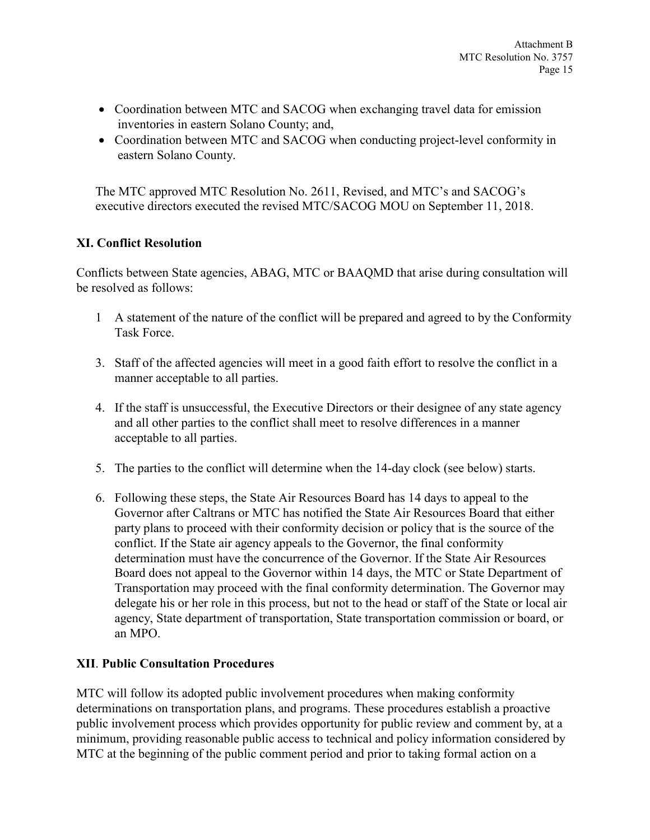- Coordination between MTC and SACOG when exchanging travel data for emission inventories in eastern Solano County; and,
- Coordination between MTC and SACOG when conducting project-level conformity in eastern Solano County.

The MTC approved MTC Resolution No. 2611, Revised, and MTC's and SACOG's executive directors executed the revised MTC/SACOG MOU on September 11, 2018.

# **XI. Conflict Resolution**

Conflicts between State agencies, ABAG, MTC or BAAQMD that arise during consultation will be resolved as follows:

- 1 A statement of the nature of the conflict will be prepared and agreed to by the Conformity Task Force.
- 3. Staff of the affected agencies will meet in a good faith effort to resolve the conflict in a manner acceptable to all parties.
- 4. If the staff is unsuccessful, the Executive Directors or their designee of any state agency and all other parties to the conflict shall meet to resolve differences in a manner acceptable to all parties.
- 5. The parties to the conflict will determine when the 14-day clock (see below) starts.
- 6. Following these steps, the State Air Resources Board has 14 days to appeal to the Governor after Caltrans or MTC has notified the State Air Resources Board that either party plans to proceed with their conformity decision or policy that is the source of the conflict. If the State air agency appeals to the Governor, the final conformity determination must have the concurrence of the Governor. If the State Air Resources Board does not appeal to the Governor within 14 days, the MTC or State Department of Transportation may proceed with the final conformity determination. The Governor may delegate his or her role in this process, but not to the head or staff of the State or local air agency, State department of transportation, State transportation commission or board, or an MPO.

# **XII**. **Public Consultation Procedures**

MTC will follow its adopted public involvement procedures when making conformity determinations on transportation plans, and programs. These procedures establish a proactive public involvement process which provides opportunity for public review and comment by, at a minimum, providing reasonable public access to technical and policy information considered by MTC at the beginning of the public comment period and prior to taking formal action on a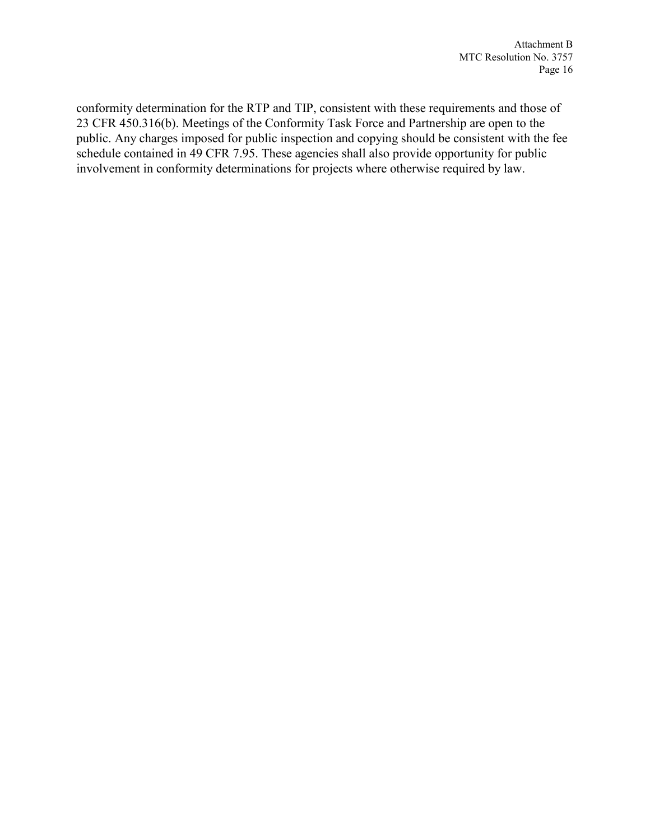conformity determination for the RTP and TIP, consistent with these requirements and those of 23 CFR 450.316(b). Meetings of the Conformity Task Force and Partnership are open to the public. Any charges imposed for public inspection and copying should be consistent with the fee schedule contained in 49 CFR 7.95. These agencies shall also provide opportunity for public involvement in conformity determinations for projects where otherwise required by law.